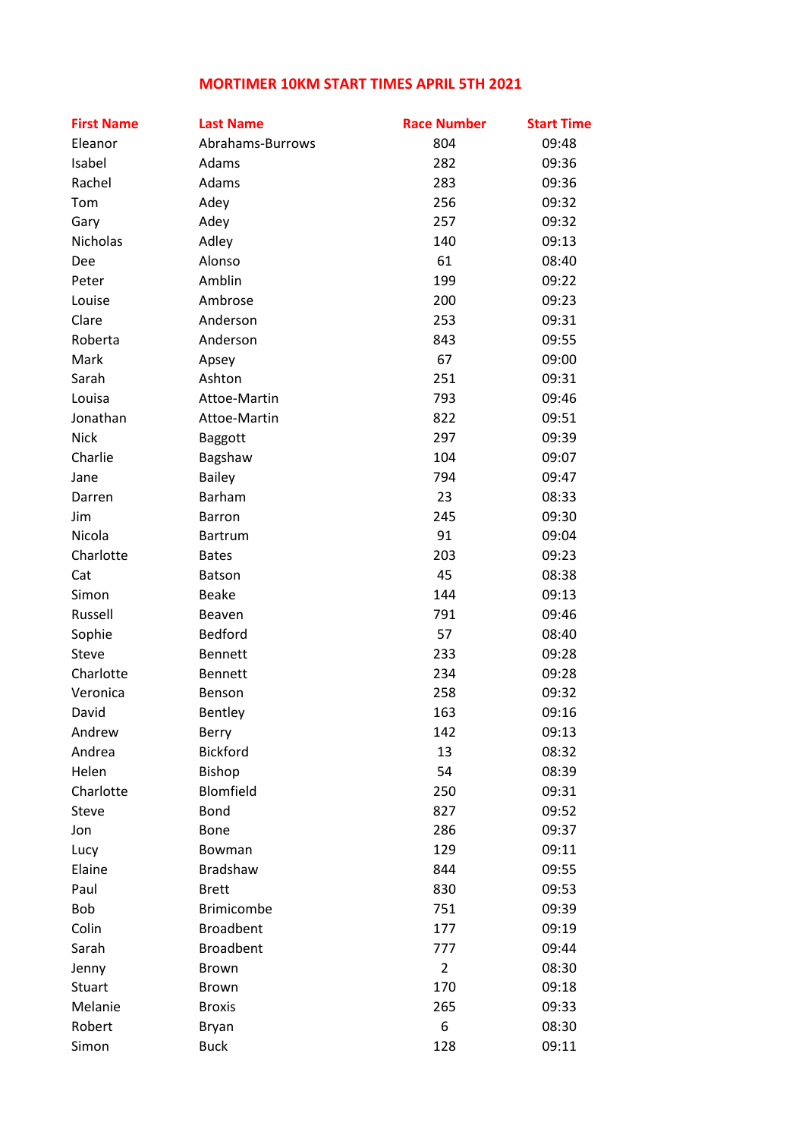## **MORTIMER 10KM START TIMES APRIL 5TH 2021**

| <b>First Name</b> | <b>Last Name</b>  | <b>Race Number</b> | <b>Start Time</b> |
|-------------------|-------------------|--------------------|-------------------|
| Eleanor           | Abrahams-Burrows  | 804                | 09:48             |
| Isabel            | Adams             | 282                | 09:36             |
| Rachel            | Adams             | 283                | 09:36             |
| Tom               | Adey              | 256                | 09:32             |
| Gary              | Adey              | 257                | 09:32             |
| Nicholas          | Adley             | 140                | 09:13             |
| Dee               | Alonso            | 61                 | 08:40             |
| Peter             | Amblin            | 199                | 09:22             |
| Louise            | Ambrose           | 200                | 09:23             |
| Clare             | Anderson          | 253                | 09:31             |
| Roberta           | Anderson          | 843                | 09:55             |
| Mark              | Apsey             | 67                 | 09:00             |
| Sarah             | Ashton            | 251                | 09:31             |
| Louisa            | Attoe-Martin      | 793                | 09:46             |
| Jonathan          | Attoe-Martin      | 822                | 09:51             |
| <b>Nick</b>       | Baggott           | 297                | 09:39             |
| Charlie           | Bagshaw           | 104                | 09:07             |
| Jane              | <b>Bailey</b>     | 794                | 09:47             |
| Darren            | Barham            | 23                 | 08:33             |
| Jim               | <b>Barron</b>     | 245                | 09:30             |
| Nicola            | <b>Bartrum</b>    | 91                 | 09:04             |
| Charlotte         | <b>Bates</b>      | 203                | 09:23             |
| Cat               | Batson            | 45                 | 08:38             |
| Simon             | <b>Beake</b>      | 144                | 09:13             |
| Russell           | Beaven            | 791                | 09:46             |
| Sophie            | <b>Bedford</b>    | 57                 | 08:40             |
| Steve             | <b>Bennett</b>    | 233                | 09:28             |
| Charlotte         | <b>Bennett</b>    | 234                | 09:28             |
| Veronica          | Benson            | 258                | 09:32             |
| David             | Bentley           | 163                | 09:16             |
| Andrew            | Berry             | 142                | 09:13             |
| Andrea            | <b>Bickford</b>   | 13                 | 08:32             |
| Helen             | Bishop            | 54                 | 08:39             |
| Charlotte         | Blomfield         | 250                | 09:31             |
| Steve             | Bond              | 827                | 09:52             |
| Jon               | Bone              | 286                | 09:37             |
| Lucy              | Bowman            | 129                | 09:11             |
| Elaine            | Bradshaw          | 844                | 09:55             |
| Paul              | <b>Brett</b>      | 830                | 09:53             |
| Bob               | <b>Brimicombe</b> | 751                | 09:39             |
| Colin             | <b>Broadbent</b>  | 177                | 09:19             |
| Sarah             | <b>Broadbent</b>  | 777                | 09:44             |
| Jenny             | Brown             | $\overline{2}$     | 08:30             |
| Stuart            | <b>Brown</b>      | 170                | 09:18             |
| Melanie           | <b>Broxis</b>     | 265                | 09:33             |
| Robert            | Bryan             | 6                  | 08:30             |
| Simon             | <b>Buck</b>       | 128                | 09:11             |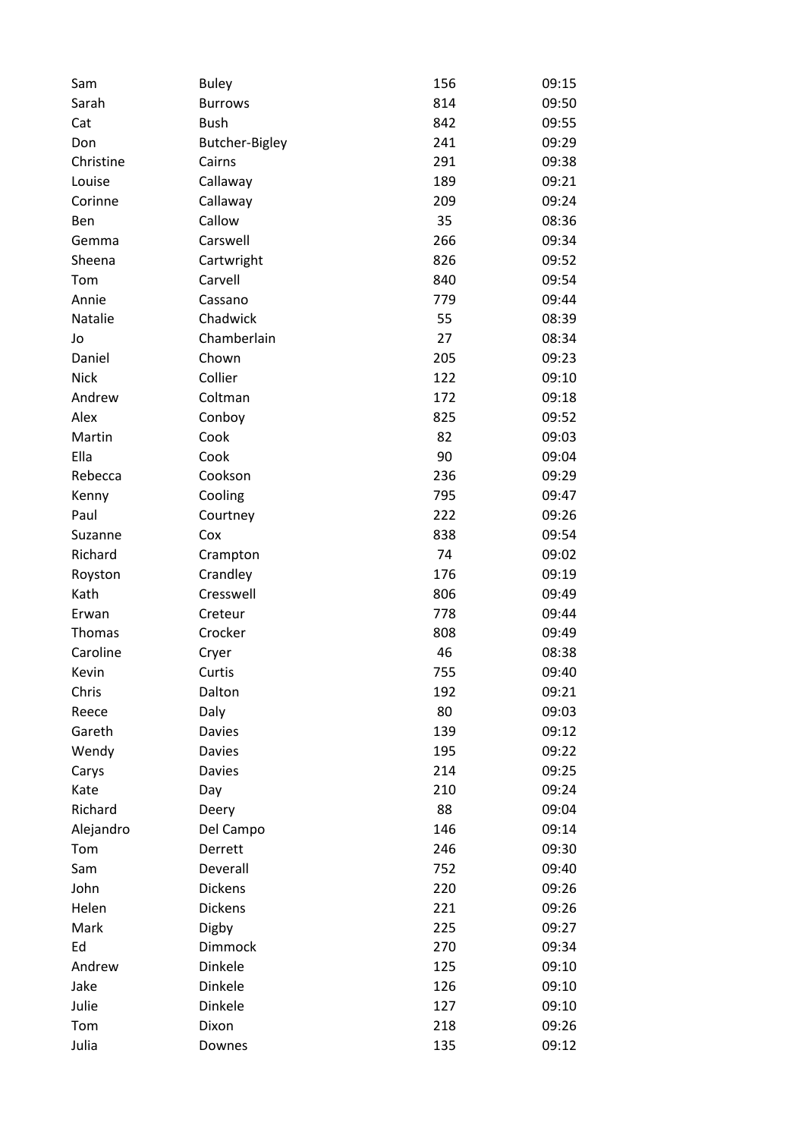| Sam         | <b>Buley</b>          | 156 | 09:15 |
|-------------|-----------------------|-----|-------|
| Sarah       | <b>Burrows</b>        | 814 | 09:50 |
| Cat         | <b>Bush</b>           | 842 | 09:55 |
| Don         | <b>Butcher-Bigley</b> | 241 | 09:29 |
| Christine   | Cairns                | 291 | 09:38 |
| Louise      | Callaway              | 189 | 09:21 |
| Corinne     | Callaway              | 209 | 09:24 |
| Ben         | Callow                | 35  | 08:36 |
| Gemma       | Carswell              | 266 | 09:34 |
| Sheena      | Cartwright            | 826 | 09:52 |
| Tom         | Carvell               | 840 | 09:54 |
| Annie       | Cassano               | 779 | 09:44 |
| Natalie     | Chadwick              | 55  | 08:39 |
| Jo          | Chamberlain           | 27  | 08:34 |
| Daniel      | Chown                 | 205 | 09:23 |
| <b>Nick</b> | Collier               | 122 | 09:10 |
| Andrew      | Coltman               | 172 | 09:18 |
| Alex        | Conboy                | 825 | 09:52 |
| Martin      | Cook                  | 82  | 09:03 |
| Ella        | Cook                  | 90  | 09:04 |
| Rebecca     | Cookson               | 236 | 09:29 |
| Kenny       | Cooling               | 795 | 09:47 |
| Paul        | Courtney              | 222 | 09:26 |
| Suzanne     | Cox                   | 838 | 09:54 |
| Richard     |                       | 74  | 09:02 |
|             | Crampton              |     |       |
| Royston     | Crandley              | 176 | 09:19 |
| Kath        | Cresswell             | 806 | 09:49 |
| Erwan       | Creteur               | 778 | 09:44 |
| Thomas      | Crocker               | 808 | 09:49 |
| Caroline    | Cryer                 | 46  | 08:38 |
| Kevin       | Curtis                | 755 | 09:40 |
| Chris       | Dalton                | 192 | 09:21 |
| Reece       | Daly                  | 80  | 09:03 |
| Gareth      | <b>Davies</b>         | 139 | 09:12 |
| Wendy       | <b>Davies</b>         | 195 | 09:22 |
| Carys       | <b>Davies</b>         | 214 | 09:25 |
| Kate        | Day                   | 210 | 09:24 |
| Richard     | Deery                 | 88  | 09:04 |
| Alejandro   | Del Campo             | 146 | 09:14 |
| Tom         | Derrett               | 246 | 09:30 |
| Sam         | Deverall              | 752 | 09:40 |
| John        | <b>Dickens</b>        | 220 | 09:26 |
| Helen       | <b>Dickens</b>        | 221 | 09:26 |
| Mark        | Digby                 | 225 | 09:27 |
| Ed          | Dimmock               | 270 | 09:34 |
| Andrew      | Dinkele               | 125 | 09:10 |
| Jake        | Dinkele               | 126 | 09:10 |
| Julie       | Dinkele               | 127 | 09:10 |
| Tom         | Dixon                 | 218 | 09:26 |
| Julia       | Downes                | 135 | 09:12 |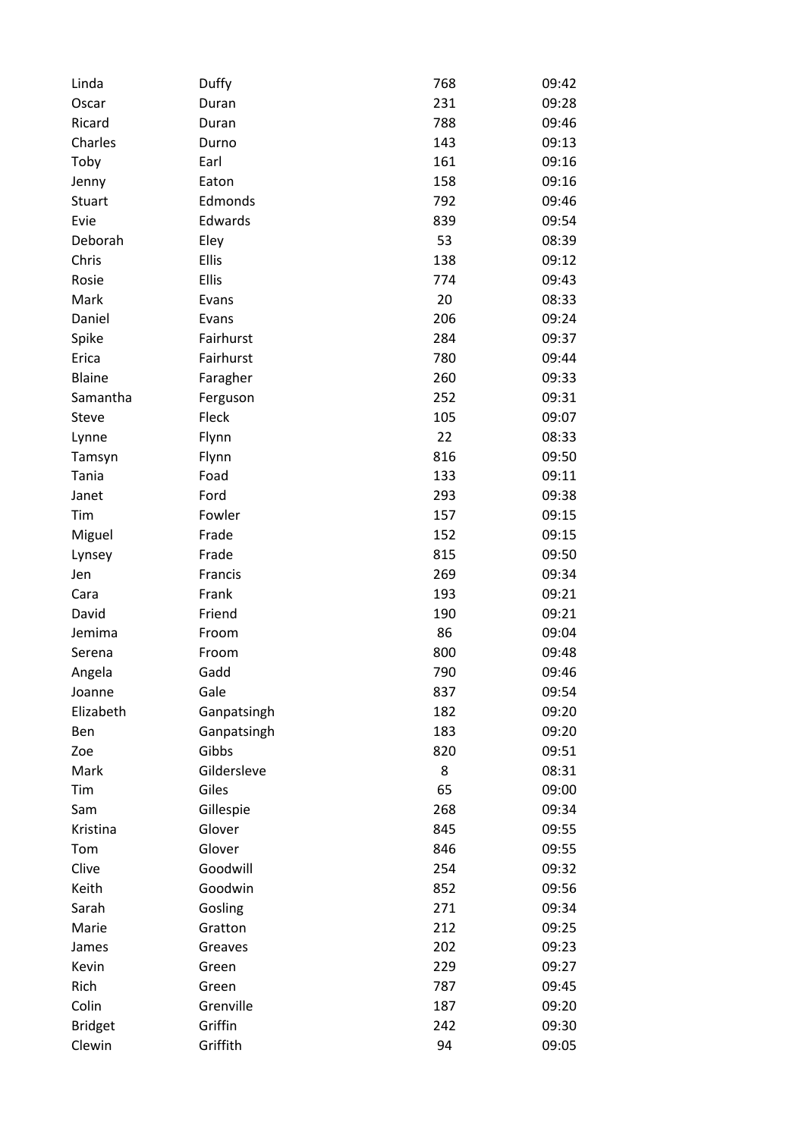| Linda          | Duffy       | 768 | 09:42 |
|----------------|-------------|-----|-------|
| Oscar          | Duran       | 231 | 09:28 |
| Ricard         | Duran       | 788 | 09:46 |
| Charles        | Durno       | 143 | 09:13 |
| Toby           | Earl        | 161 | 09:16 |
| Jenny          | Eaton       | 158 | 09:16 |
| Stuart         | Edmonds     | 792 | 09:46 |
| Evie           | Edwards     | 839 | 09:54 |
| Deborah        | Eley        | 53  | 08:39 |
| Chris          | Ellis       | 138 | 09:12 |
| Rosie          | Ellis       | 774 | 09:43 |
| Mark           | Evans       | 20  | 08:33 |
| Daniel         | Evans       | 206 | 09:24 |
| Spike          | Fairhurst   | 284 | 09:37 |
| Erica          | Fairhurst   | 780 | 09:44 |
| <b>Blaine</b>  | Faragher    | 260 | 09:33 |
| Samantha       | Ferguson    | 252 | 09:31 |
| Steve          | Fleck       | 105 | 09:07 |
| Lynne          | Flynn       | 22  | 08:33 |
| Tamsyn         | Flynn       | 816 | 09:50 |
| Tania          | Foad        | 133 | 09:11 |
| Janet          | Ford        | 293 | 09:38 |
| Tim            | Fowler      | 157 | 09:15 |
| Miguel         | Frade       | 152 | 09:15 |
| Lynsey         | Frade       | 815 | 09:50 |
| Jen            | Francis     | 269 | 09:34 |
| Cara           | Frank       | 193 | 09:21 |
| David          | Friend      | 190 | 09:21 |
| Jemima         | Froom       | 86  | 09:04 |
| Serena         | Froom       | 800 | 09:48 |
| Angela         | Gadd        | 790 | 09:46 |
| Joanne         | Gale        | 837 | 09:54 |
| Elizabeth      | Ganpatsingh | 182 | 09:20 |
| Ben            | Ganpatsingh | 183 | 09:20 |
| Zoe            | Gibbs       | 820 | 09:51 |
| Mark           | Gildersleve | 8   | 08:31 |
| Tim            | Giles       | 65  | 09:00 |
| Sam            | Gillespie   | 268 | 09:34 |
| Kristina       | Glover      | 845 | 09:55 |
| Tom            | Glover      | 846 | 09:55 |
| Clive          | Goodwill    | 254 | 09:32 |
| Keith          | Goodwin     | 852 | 09:56 |
| Sarah          | Gosling     | 271 | 09:34 |
| Marie          | Gratton     | 212 | 09:25 |
| James          | Greaves     | 202 | 09:23 |
| Kevin          | Green       | 229 | 09:27 |
| Rich           | Green       | 787 | 09:45 |
| Colin          | Grenville   | 187 | 09:20 |
| <b>Bridget</b> | Griffin     | 242 | 09:30 |
| Clewin         | Griffith    | 94  | 09:05 |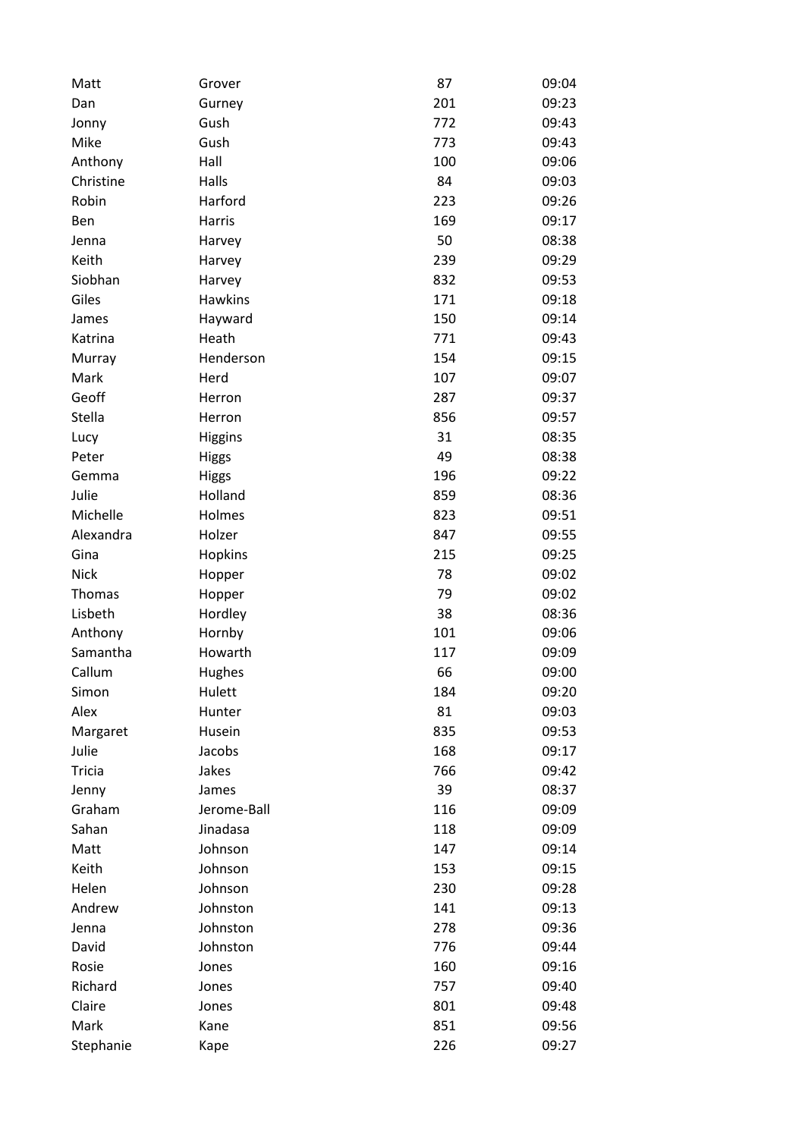| Matt          | Grover         | 87  | 09:04 |
|---------------|----------------|-----|-------|
| Dan           | Gurney         | 201 | 09:23 |
| Jonny         | Gush           | 772 | 09:43 |
| Mike          | Gush           | 773 | 09:43 |
| Anthony       | Hall           | 100 | 09:06 |
| Christine     | Halls          | 84  | 09:03 |
| Robin         | Harford        | 223 | 09:26 |
| Ben           | Harris         | 169 | 09:17 |
| Jenna         | Harvey         | 50  | 08:38 |
| Keith         | Harvey         | 239 | 09:29 |
| Siobhan       | Harvey         | 832 | 09:53 |
| Giles         | <b>Hawkins</b> | 171 | 09:18 |
| James         | Hayward        | 150 | 09:14 |
| Katrina       | Heath          | 771 | 09:43 |
| Murray        | Henderson      | 154 | 09:15 |
| Mark          | Herd           | 107 | 09:07 |
| Geoff         | Herron         | 287 | 09:37 |
| Stella        | Herron         | 856 | 09:57 |
| Lucy          | <b>Higgins</b> | 31  | 08:35 |
| Peter         | <b>Higgs</b>   | 49  | 08:38 |
| Gemma         | <b>Higgs</b>   | 196 | 09:22 |
| Julie         | Holland        | 859 | 08:36 |
| Michelle      | Holmes         | 823 | 09:51 |
| Alexandra     | Holzer         | 847 | 09:55 |
| Gina          | Hopkins        | 215 | 09:25 |
| <b>Nick</b>   | Hopper         | 78  | 09:02 |
| Thomas        | Hopper         | 79  | 09:02 |
| Lisbeth       | Hordley        | 38  | 08:36 |
| Anthony       | Hornby         | 101 | 09:06 |
| Samantha      | Howarth        | 117 | 09:09 |
| Callum        | Hughes         | 66  | 09:00 |
| Simon         | Hulett         | 184 | 09:20 |
| Alex          | Hunter         | 81  | 09:03 |
| Margaret      | Husein         | 835 | 09:53 |
| Julie         | Jacobs         | 168 | 09:17 |
| <b>Tricia</b> | Jakes          | 766 | 09:42 |
| Jenny         | James          | 39  | 08:37 |
| Graham        | Jerome-Ball    | 116 | 09:09 |
| Sahan         | Jinadasa       | 118 | 09:09 |
| Matt          | Johnson        | 147 | 09:14 |
| Keith         | Johnson        | 153 | 09:15 |
| Helen         | Johnson        | 230 | 09:28 |
| Andrew        | Johnston       | 141 | 09:13 |
| Jenna         | Johnston       | 278 | 09:36 |
| David         | Johnston       | 776 | 09:44 |
| Rosie         | Jones          | 160 | 09:16 |
| Richard       | Jones          | 757 | 09:40 |
| Claire        | Jones          | 801 | 09:48 |
| Mark          | Kane           | 851 | 09:56 |
| Stephanie     | Kape           | 226 | 09:27 |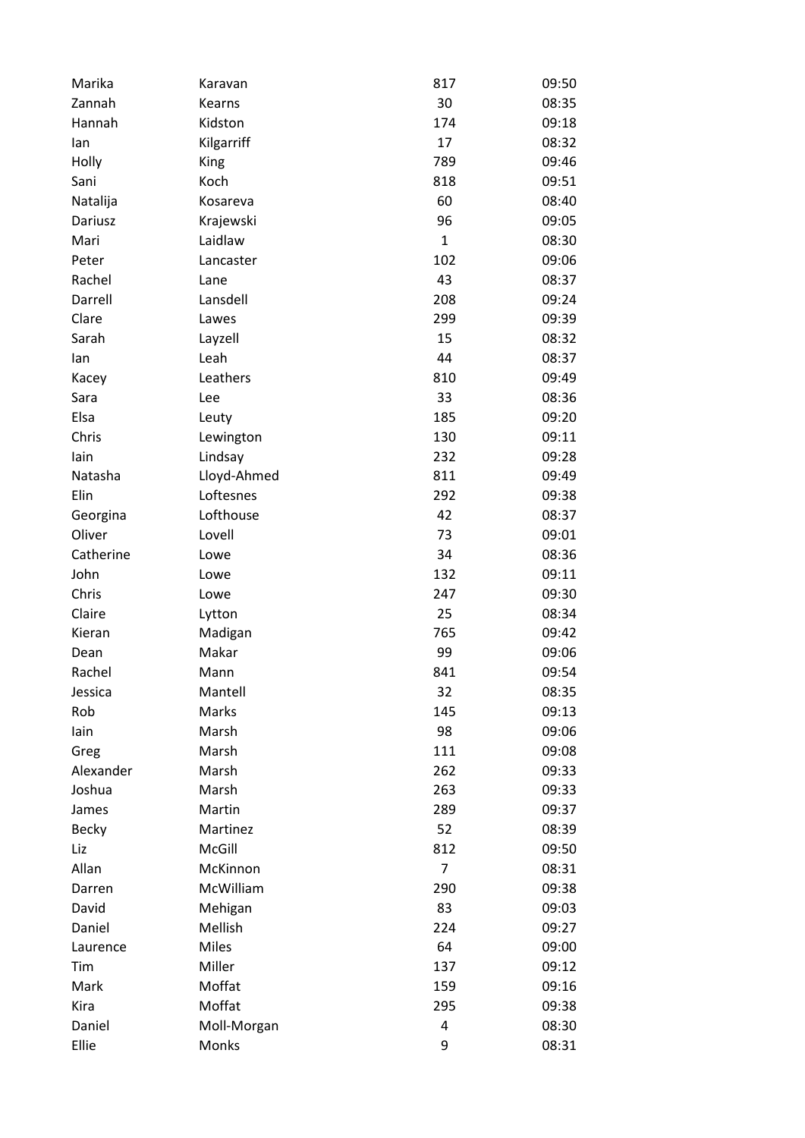| Marika       | Karavan      | 817          | 09:50 |
|--------------|--------------|--------------|-------|
| Zannah       | Kearns       | 30           | 08:35 |
| Hannah       | Kidston      | 174          | 09:18 |
| lan          | Kilgarriff   | 17           | 08:32 |
| Holly        | King         | 789          | 09:46 |
| Sani         | Koch         | 818          | 09:51 |
| Natalija     | Kosareva     | 60           | 08:40 |
| Dariusz      | Krajewski    | 96           | 09:05 |
| Mari         | Laidlaw      | $\mathbf{1}$ | 08:30 |
| Peter        | Lancaster    | 102          | 09:06 |
| Rachel       | Lane         | 43           | 08:37 |
| Darrell      | Lansdell     | 208          | 09:24 |
| Clare        | Lawes        | 299          | 09:39 |
| Sarah        | Layzell      | 15           | 08:32 |
| lan          | Leah         | 44           | 08:37 |
| Kacey        | Leathers     | 810          | 09:49 |
| Sara         | Lee          | 33           | 08:36 |
| Elsa         | Leuty        | 185          | 09:20 |
| Chris        | Lewington    | 130          | 09:11 |
| lain         | Lindsay      | 232          | 09:28 |
| Natasha      | Lloyd-Ahmed  | 811          | 09:49 |
| Elin         | Loftesnes    | 292          | 09:38 |
| Georgina     | Lofthouse    | 42           | 08:37 |
| Oliver       | Lovell       | 73           | 09:01 |
| Catherine    | Lowe         | 34           | 08:36 |
| John         | Lowe         | 132          | 09:11 |
| Chris        | Lowe         | 247          | 09:30 |
| Claire       | Lytton       | 25           | 08:34 |
| Kieran       | Madigan      | 765          | 09:42 |
| Dean         | Makar        | 99           | 09:06 |
| Rachel       | Mann         | 841          | 09:54 |
| Jessica      | Mantell      | 32           | 08:35 |
| Rob          | Marks        | 145          | 09:13 |
| lain         | Marsh        | 98           | 09:06 |
| Greg         | Marsh        | 111          | 09:08 |
| Alexander    | Marsh        | 262          | 09:33 |
| Joshua       | Marsh        | 263          | 09:33 |
| James        | Martin       | 289          | 09:37 |
| <b>Becky</b> | Martinez     | 52           | 08:39 |
| Liz          | McGill       | 812          | 09:50 |
| Allan        | McKinnon     | 7            | 08:31 |
| Darren       | McWilliam    | 290          | 09:38 |
| David        | Mehigan      | 83           | 09:03 |
| Daniel       | Mellish      | 224          | 09:27 |
| Laurence     | <b>Miles</b> | 64           | 09:00 |
| Tim          | Miller       | 137          | 09:12 |
| Mark         | Moffat       | 159          | 09:16 |
| Kira         | Moffat       | 295          | 09:38 |
| Daniel       | Moll-Morgan  | 4            | 08:30 |
| Ellie        | Monks        | 9            | 08:31 |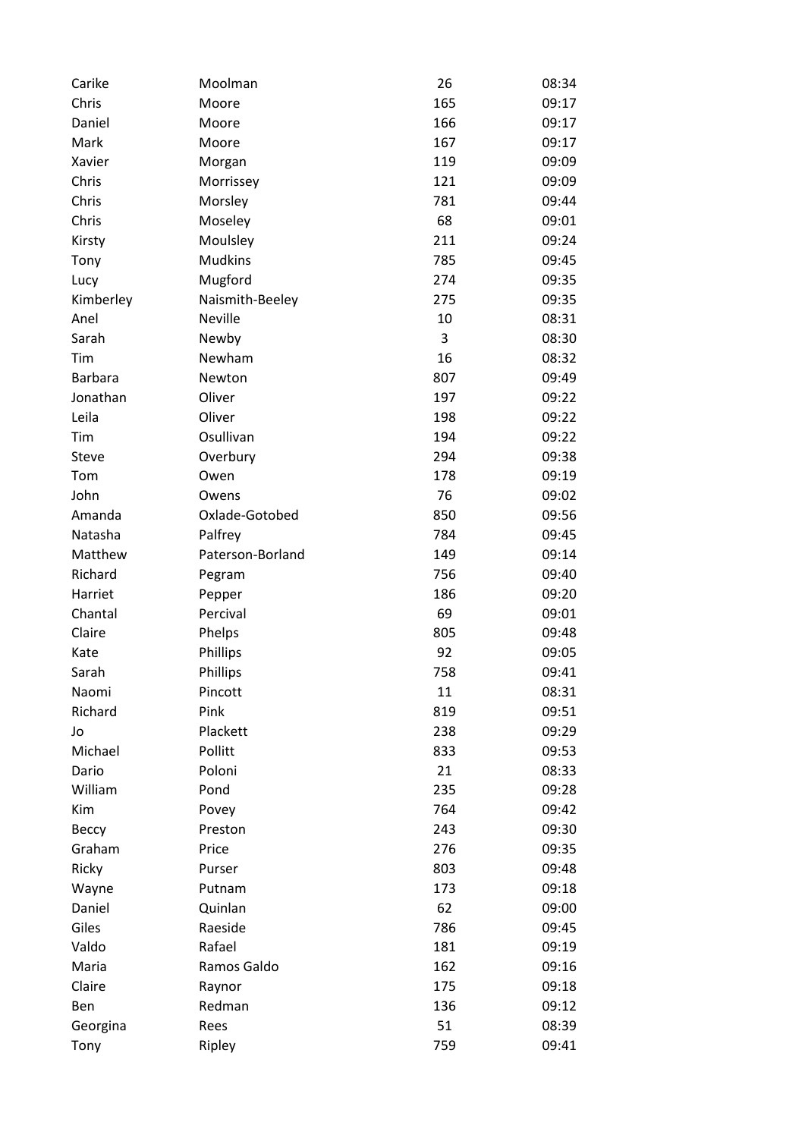| Carike         | Moolman          | 26  | 08:34 |
|----------------|------------------|-----|-------|
| Chris          | Moore            | 165 | 09:17 |
| Daniel         | Moore            | 166 | 09:17 |
| Mark           | Moore            | 167 | 09:17 |
| Xavier         | Morgan           | 119 | 09:09 |
| Chris          | Morrissey        | 121 | 09:09 |
| Chris          | Morsley          | 781 | 09:44 |
| Chris          | Moseley          | 68  | 09:01 |
| Kirsty         | Moulsley         | 211 | 09:24 |
| Tony           | <b>Mudkins</b>   | 785 | 09:45 |
| Lucy           | Mugford          | 274 | 09:35 |
| Kimberley      | Naismith-Beeley  | 275 | 09:35 |
| Anel           | <b>Neville</b>   | 10  | 08:31 |
| Sarah          | Newby            | 3   | 08:30 |
| Tim            | Newham           | 16  | 08:32 |
| <b>Barbara</b> | Newton           | 807 | 09:49 |
| Jonathan       | Oliver           | 197 | 09:22 |
| Leila          | Oliver           | 198 | 09:22 |
| Tim            | Osullivan        | 194 | 09:22 |
| Steve          | Overbury         | 294 | 09:38 |
| Tom            | Owen             | 178 | 09:19 |
| John           | Owens            | 76  | 09:02 |
| Amanda         | Oxlade-Gotobed   | 850 | 09:56 |
| Natasha        | Palfrey          | 784 | 09:45 |
| Matthew        | Paterson-Borland | 149 | 09:14 |
| Richard        | Pegram           | 756 | 09:40 |
| Harriet        | Pepper           | 186 | 09:20 |
| Chantal        | Percival         | 69  | 09:01 |
| Claire         | Phelps           | 805 | 09:48 |
| Kate           | Phillips         | 92  | 09:05 |
| Sarah          | Phillips         | 758 | 09:41 |
| Naomi          | Pincott          | 11  | 08:31 |
| Richard        | Pink             | 819 | 09:51 |
| Jo             | Plackett         | 238 | 09:29 |
| Michael        | Pollitt          | 833 | 09:53 |
| Dario          | Poloni           | 21  | 08:33 |
| William        | Pond             | 235 | 09:28 |
| Kim            | Povey            | 764 | 09:42 |
| Beccy          | Preston          | 243 | 09:30 |
| Graham         | Price            | 276 | 09:35 |
| Ricky          | Purser           | 803 | 09:48 |
| Wayne          | Putnam           | 173 | 09:18 |
| Daniel         | Quinlan          | 62  | 09:00 |
| Giles          | Raeside          | 786 | 09:45 |
| Valdo          | Rafael           |     |       |
|                |                  | 181 | 09:19 |
| Maria          | Ramos Galdo      | 162 | 09:16 |
| Claire         | Raynor           | 175 | 09:18 |
| Ben            | Redman           | 136 | 09:12 |
| Georgina       | Rees             | 51  | 08:39 |
| Tony           | Ripley           | 759 | 09:41 |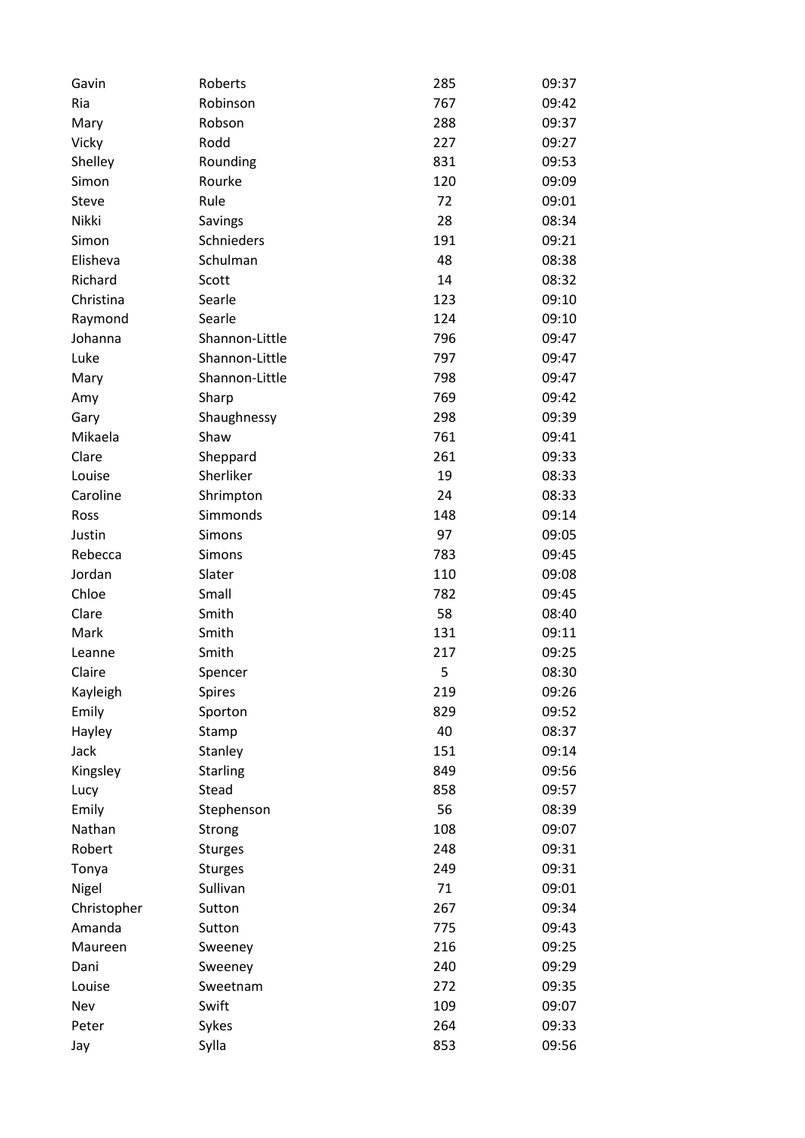| Gavin       | Roberts         | 285 | 09:37          |
|-------------|-----------------|-----|----------------|
| Ria         | Robinson        | 767 | 09:42          |
| Mary        | Robson          | 288 | 09:37          |
| Vicky       | Rodd            | 227 | 09:27          |
| Shelley     | Rounding        | 831 | 09:53          |
| Simon       | Rourke          | 120 | 09:09          |
| Steve       | Rule            | 72  | 09:01          |
| Nikki       | Savings         | 28  | 08:34          |
| Simon       | Schnieders      | 191 | 09:21          |
| Elisheva    | Schulman        | 48  | 08:38          |
| Richard     | Scott           | 14  | 08:32          |
| Christina   | Searle          | 123 | 09:10          |
| Raymond     | Searle          | 124 | 09:10          |
| Johanna     | Shannon-Little  | 796 | 09:47          |
| Luke        | Shannon-Little  | 797 | 09:47          |
| Mary        | Shannon-Little  | 798 | 09:47          |
| Amy         | Sharp           | 769 | 09:42          |
| Gary        | Shaughnessy     | 298 | 09:39          |
| Mikaela     | Shaw            | 761 | 09:41          |
| Clare       | Sheppard        | 261 | 09:33          |
| Louise      | Sherliker       | 19  | 08:33          |
| Caroline    | Shrimpton       | 24  | 08:33          |
| Ross        | Simmonds        | 148 | 09:14          |
| Justin      | Simons          | 97  | 09:05          |
| Rebecca     | Simons          | 783 | 09:45          |
| Jordan      | Slater          | 110 | 09:08          |
|             |                 |     |                |
| Chloe       | Small           | 782 | 09:45<br>08:40 |
| Clare       | Smith           | 58  |                |
| Mark        | Smith           | 131 | 09:11          |
| Leanne      | Smith           | 217 | 09:25          |
| Claire      | Spencer         | 5   | 08:30          |
| Kayleigh    | <b>Spires</b>   | 219 | 09:26          |
| Emily       | Sporton         | 829 | 09:52          |
| Hayley      | Stamp           | 40  | 08:37          |
| Jack        | Stanley         | 151 | 09:14          |
| Kingsley    | <b>Starling</b> | 849 | 09:56          |
| Lucy        | Stead           | 858 | 09:57          |
| Emily       | Stephenson      | 56  | 08:39          |
| Nathan      | Strong          | 108 | 09:07          |
| Robert      | <b>Sturges</b>  | 248 | 09:31          |
| Tonya       | <b>Sturges</b>  | 249 | 09:31          |
| Nigel       | Sullivan        | 71  | 09:01          |
| Christopher | Sutton          | 267 | 09:34          |
| Amanda      | Sutton          | 775 | 09:43          |
| Maureen     | Sweeney         | 216 | 09:25          |
| Dani        | Sweeney         | 240 | 09:29          |
| Louise      | Sweetnam        | 272 | 09:35          |
| Nev         | Swift           | 109 | 09:07          |
| Peter       | Sykes           | 264 | 09:33          |
| Jay         | Sylla           | 853 | 09:56          |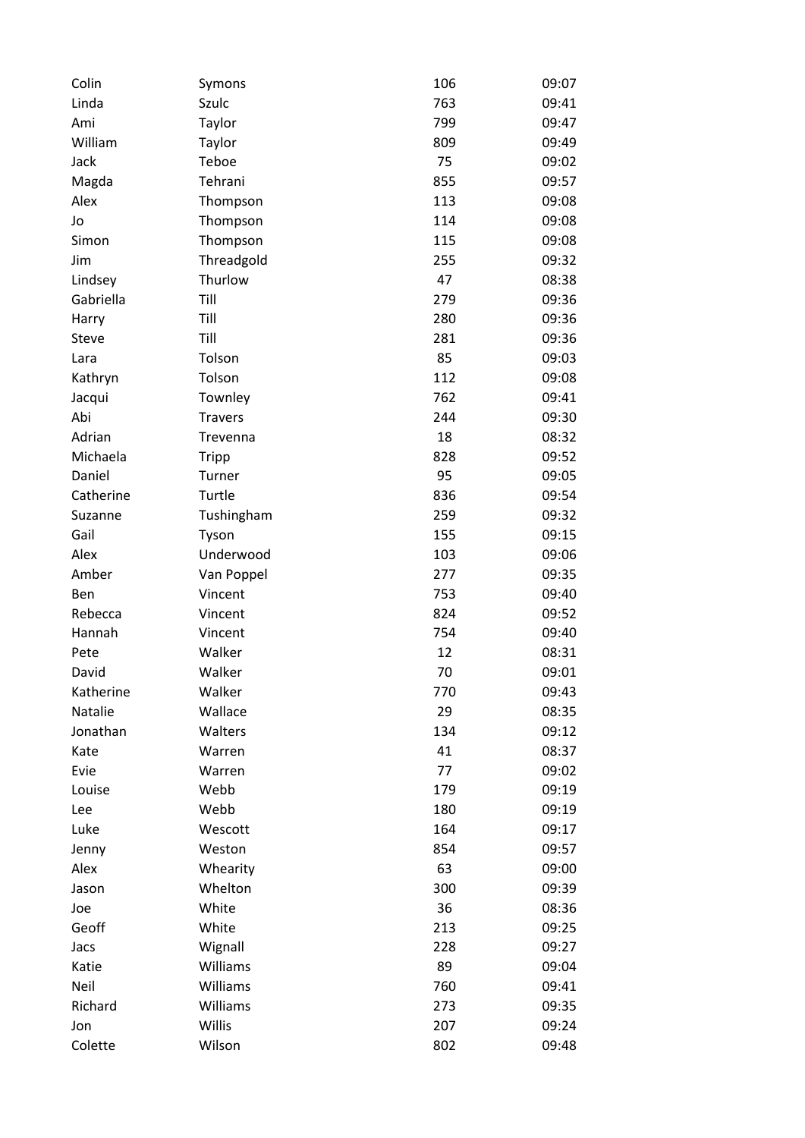| Linda<br>Szulc<br>763<br>Taylor<br>799<br>Ami<br>William<br>809<br>Taylor | 09:41<br>09:47 |
|---------------------------------------------------------------------------|----------------|
|                                                                           |                |
|                                                                           |                |
|                                                                           | 09:49          |
| Teboe<br>75<br>Jack                                                       | 09:02          |
| Tehrani<br>855<br>Magda                                                   | 09:57          |
| Alex<br>113<br>Thompson                                                   | 09:08          |
| 114<br>Jo<br>Thompson                                                     | 09:08          |
| 115<br>Simon<br>Thompson                                                  | 09:08          |
| Threadgold<br>255<br>Jim                                                  | 09:32          |
| 47<br>Lindsey<br>Thurlow                                                  | 08:38          |
| Gabriella<br>Till<br>279                                                  | 09:36          |
| Till<br>280<br>Harry                                                      | 09:36          |
| Till<br>Steve<br>281                                                      | 09:36          |
| Tolson<br>85<br>Lara                                                      | 09:03          |
| Tolson<br>112<br>Kathryn                                                  | 09:08          |
| 762<br>Jacqui<br>Townley                                                  | 09:41          |
| Abi<br>244<br><b>Travers</b>                                              | 09:30          |
| Adrian<br>18<br>Trevenna                                                  | 08:32          |
| 828<br>Michaela<br>Tripp                                                  | 09:52          |
| 95<br>Daniel<br>Turner                                                    | 09:05          |
| Catherine<br>Turtle<br>836                                                | 09:54          |
| 259<br>Suzanne<br>Tushingham                                              | 09:32          |
| Gail<br>Tyson<br>155                                                      | 09:15          |
| Alex<br>Underwood<br>103                                                  | 09:06          |
| 277<br>Amber<br>Van Poppel                                                | 09:35          |
| Vincent<br>753<br>Ben                                                     | 09:40          |
| 824<br>Rebecca<br>Vincent                                                 | 09:52          |
| 754<br>Hannah<br>Vincent                                                  | 09:40          |
| Walker<br>Pete<br>12                                                      | 08:31          |
| Walker<br>70<br>David                                                     | 09:01          |
| Katherine<br>Walker<br>770                                                | 09:43          |
| Natalie<br>Wallace<br>29                                                  | 08:35          |
| Walters<br>134<br>Jonathan                                                | 09:12          |
| 41<br>Kate<br>Warren                                                      | 08:37          |
| Evie<br>77<br>Warren                                                      | 09:02          |
| 179<br>Louise<br>Webb                                                     | 09:19          |
| Webb<br>180<br>Lee                                                        | 09:19          |
| Luke<br>164<br>Wescott                                                    | 09:17          |
| Weston<br>854<br>Jenny                                                    | 09:57          |
| 63<br>Alex<br>Whearity                                                    | 09:00          |
| Whelton<br>300<br>Jason                                                   | 09:39          |
| White<br>36<br>Joe                                                        | 08:36          |
| Geoff<br>White<br>213                                                     | 09:25          |
| Wignall<br>228<br>Jacs                                                    | 09:27          |
| Williams<br>89<br>Katie                                                   | 09:04          |
| Neil<br>Williams<br>760                                                   | 09:41          |
| Richard<br>Williams<br>273                                                | 09:35          |
| Willis<br>207<br>Jon                                                      | 09:24          |
| Colette<br>Wilson<br>802                                                  | 09:48          |